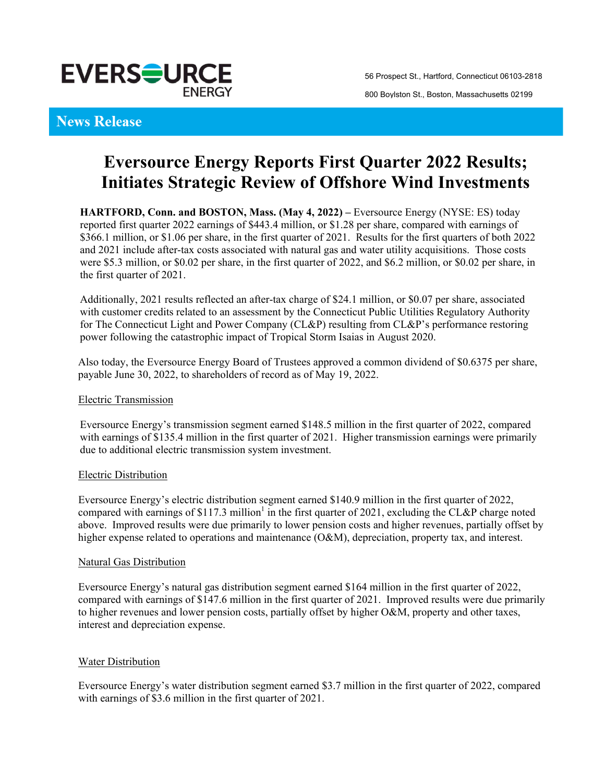

## **News Release**

# **Eversource Energy Reports First Quarter 2022 Results; Initiates Strategic Review of Offshore Wind Investments**

**HARTFORD, Conn. and BOSTON, Mass. (May 4, 2022) –** Eversource Energy (NYSE: ES) today reported first quarter 2022 earnings of \$443.4 million, or \$1.28 per share, compared with earnings of \$366.1 million, or \$1.06 per share, in the first quarter of 2021. Results for the first quarters of both 2022 and 2021 include after-tax costs associated with natural gas and water utility acquisitions. Those costs were \$5.3 million, or \$0.02 per share, in the first quarter of 2022, and \$6.2 million, or \$0.02 per share, in the first quarter of 2021.

Additionally, 2021 results reflected an after-tax charge of \$24.1 million, or \$0.07 per share, associated with customer credits related to an assessment by the Connecticut Public Utilities Regulatory Authority for The Connecticut Light and Power Company (CL&P) resulting from CL&P's performance restoring power following the catastrophic impact of Tropical Storm Isaias in August 2020.

Also today, the Eversource Energy Board of Trustees approved a common dividend of \$0.6375 per share, payable June 30, 2022, to shareholders of record as of May 19, 2022.

#### Electric Transmission

Eversource Energy's transmission segment earned \$148.5 million in the first quarter of 2022, compared with earnings of \$135.4 million in the first quarter of 2021. Higher transmission earnings were primarily due to additional electric transmission system investment.

#### Electric Distribution

Eversource Energy's electric distribution segment earned \$140.9 million in the first quarter of 2022, compared with earnings of \$117.3 million<sup>1</sup> in the first quarter of 2021, excluding the CL&P charge noted above. Improved results were due primarily to lower pension costs and higher revenues, partially offset by higher expense related to operations and maintenance (O&M), depreciation, property tax, and interest.

#### Natural Gas Distribution

Eversource Energy's natural gas distribution segment earned \$164 million in the first quarter of 2022, compared with earnings of \$147.6 million in the first quarter of 2021. Improved results were due primarily to higher revenues and lower pension costs, partially offset by higher O&M, property and other taxes, interest and depreciation expense.

#### **Water Distribution**

Eversource Energy's water distribution segment earned \$3.7 million in the first quarter of 2022, compared with earnings of \$3.6 million in the first quarter of 2021.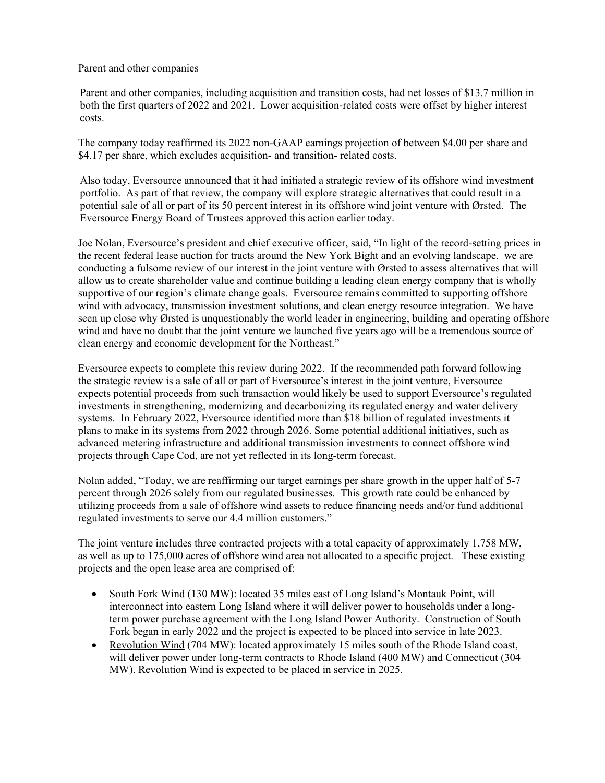#### Parent and other companies

Parent and other companies, including acquisition and transition costs, had net losses of \$13.7 million in both the first quarters of 2022 and 2021. Lower acquisition-related costs were offset by higher interest costs.

The company today reaffirmed its 2022 non-GAAP earnings projection of between \$4.00 per share and \$4.17 per share, which excludes acquisition- and transition- related costs.

Also today, Eversource announced that it had initiated a strategic review of its offshore wind investment portfolio. As part of that review, the company will explore strategic alternatives that could result in a potential sale of all or part of its 50 percent interest in its offshore wind joint venture with Ørsted. The Eversource Energy Board of Trustees approved this action earlier today.

Joe Nolan, Eversource's president and chief executive officer, said, "In light of the record-setting prices in the recent federal lease auction for tracts around the New York Bight and an evolving landscape, we are conducting a fulsome review of our interest in the joint venture with Ørsted to assess alternatives that will allow us to create shareholder value and continue building a leading clean energy company that is wholly supportive of our region's climate change goals. Eversource remains committed to supporting offshore wind with advocacy, transmission investment solutions, and clean energy resource integration. We have seen up close why Ørsted is unquestionably the world leader in engineering, building and operating offshore wind and have no doubt that the joint venture we launched five years ago will be a tremendous source of clean energy and economic development for the Northeast."

Eversource expects to complete this review during 2022. If the recommended path forward following the strategic review is a sale of all or part of Eversource's interest in the joint venture, Eversource expects potential proceeds from such transaction would likely be used to support Eversource's regulated investments in strengthening, modernizing and decarbonizing its regulated energy and water delivery systems. In February 2022, Eversource identified more than \$18 billion of regulated investments it plans to make in its systems from 2022 through 2026. Some potential additional initiatives, such as advanced metering infrastructure and additional transmission investments to connect offshore wind projects through Cape Cod, are not yet reflected in its long-term forecast.

Nolan added, "Today, we are reaffirming our target earnings per share growth in the upper half of 5-7 percent through 2026 solely from our regulated businesses. This growth rate could be enhanced by utilizing proceeds from a sale of offshore wind assets to reduce financing needs and/or fund additional regulated investments to serve our 4.4 million customers."

The joint venture includes three contracted projects with a total capacity of approximately 1,758 MW, as well as up to 175,000 acres of offshore wind area not allocated to a specific project. These existing projects and the open lease area are comprised of:

- South Fork Wind (130 MW): located 35 miles east of Long Island's Montauk Point, will interconnect into eastern Long Island where it will deliver power to households under a longterm power purchase agreement with the Long Island Power Authority. Construction of South Fork began in early 2022 and the project is expected to be placed into service in late 2023.
- Revolution Wind (704 MW): located approximately 15 miles south of the Rhode Island coast, will deliver power under long-term contracts to Rhode Island (400 MW) and Connecticut (304 MW). Revolution Wind is expected to be placed in service in 2025.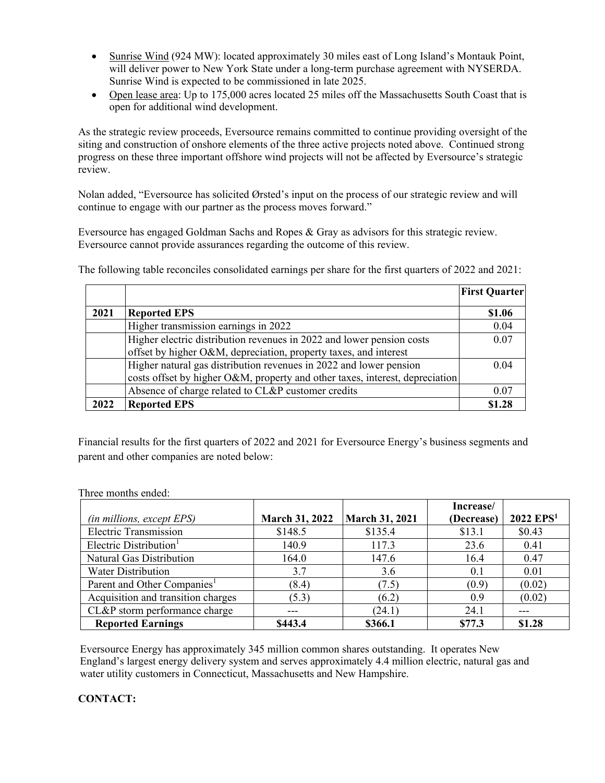- Sunrise Wind (924 MW): located approximately 30 miles east of Long Island's Montauk Point, will deliver power to New York State under a long-term purchase agreement with NYSERDA. Sunrise Wind is expected to be commissioned in late 2025.
- Open lease area: Up to 175,000 acres located 25 miles off the Massachusetts South Coast that is open for additional wind development.

As the strategic review proceeds, Eversource remains committed to continue providing oversight of the siting and construction of onshore elements of the three active projects noted above. Continued strong progress on these three important offshore wind projects will not be affected by Eversource's strategic review.

Nolan added, "Eversource has solicited Ørsted's input on the process of our strategic review and will continue to engage with our partner as the process moves forward."

Eversource has engaged Goldman Sachs and Ropes & Gray as advisors for this strategic review. Eversource cannot provide assurances regarding the outcome of this review.

|      |                                                                              | <b>First Quarter</b> |
|------|------------------------------------------------------------------------------|----------------------|
| 2021 | <b>Reported EPS</b>                                                          | \$1.06               |
|      | Higher transmission earnings in 2022                                         | 0.04                 |
|      | Higher electric distribution revenues in 2022 and lower pension costs        | 0.07                 |
|      | offset by higher O&M, depreciation, property taxes, and interest             |                      |
|      | Higher natural gas distribution revenues in 2022 and lower pension           | 0.04                 |
|      | costs offset by higher O&M, property and other taxes, interest, depreciation |                      |
|      | Absence of charge related to CL&P customer credits                           | 0.07                 |
| 2022 | <b>Reported EPS</b>                                                          | \$1.28               |

The following table reconciles consolidated earnings per share for the first quarters of 2022 and 2021:

Financial results for the first quarters of 2022 and 2021 for Eversource Energy's business segments and parent and other companies are noted below:

|                                         |                       |                | Increase/  |                         |
|-----------------------------------------|-----------------------|----------------|------------|-------------------------|
| <i>(in millions, except EPS)</i>        | <b>March 31, 2022</b> | March 31, 2021 | (Decrease) | $2022$ EPS <sup>1</sup> |
| <b>Electric Transmission</b>            | \$148.5               | \$135.4        | \$13.1     | \$0.43                  |
| Electric Distribution <sup>1</sup>      | 140.9                 | 117.3          | 23.6       | 0.41                    |
| Natural Gas Distribution                | 164.0                 | 147.6          | 16.4       | 0.47                    |
| <b>Water Distribution</b>               | 3.7                   | 3.6            | 0.1        | 0.01                    |
| Parent and Other Companies <sup>1</sup> | (8.4)                 | (7.5)          | (0.9)      | (0.02)                  |
| Acquisition and transition charges      | (5.3)                 | (6.2)          | 0.9        | (0.02)                  |
| CL&P storm performance charge           | ---                   | (24.1)         | 24.1       |                         |
| <b>Reported Earnings</b>                | \$443.4               | \$366.1        | \$77.3     | \$1.28                  |

Three months ended:

Eversource Energy has approximately 345 million common shares outstanding. It operates New England's largest energy delivery system and serves approximately 4.4 million electric, natural gas and water utility customers in Connecticut, Massachusetts and New Hampshire.

### **CONTACT:**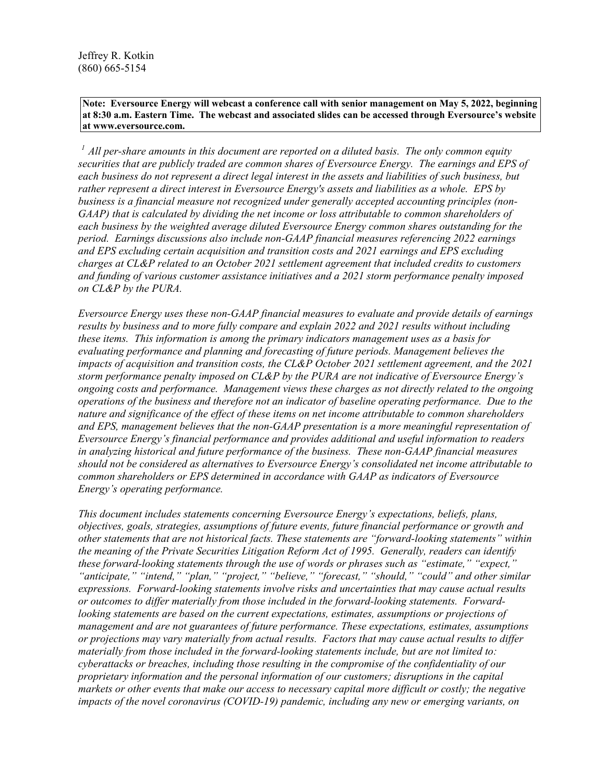**Note: Eversource Energy will webcast a conference call with senior management on May 5, 2022, beginning at 8:30 a.m. Eastern Time. The webcast and associated slides can be accessed through Eversource's website at www.eversource.com.**

*1 All per-share amounts in this document are reported on a diluted basis. The only common equity securities that are publicly traded are common shares of Eversource Energy. The earnings and EPS of each business do not represent a direct legal interest in the assets and liabilities of such business, but rather represent a direct interest in Eversource Energy's assets and liabilities as a whole. EPS by business is a financial measure not recognized under generally accepted accounting principles (non-GAAP) that is calculated by dividing the net income or loss attributable to common shareholders of each business by the weighted average diluted Eversource Energy common shares outstanding for the period. Earnings discussions also include non-GAAP financial measures referencing 2022 earnings and EPS excluding certain acquisition and transition costs and 2021 earnings and EPS excluding charges at CL&P related to an October 2021 settlement agreement that included credits to customers and funding of various customer assistance initiatives and a 2021 storm performance penalty imposed on CL&P by the PURA.* 

*Eversource Energy uses these non-GAAP financial measures to evaluate and provide details of earnings results by business and to more fully compare and explain 2022 and 2021 results without including these items. This information is among the primary indicators management uses as a basis for evaluating performance and planning and forecasting of future periods. Management believes the impacts of acquisition and transition costs, the CL&P October 2021 settlement agreement, and the 2021 storm performance penalty imposed on CL&P by the PURA are not indicative of Eversource Energy's ongoing costs and performance. Management views these charges as not directly related to the ongoing operations of the business and therefore not an indicator of baseline operating performance. Due to the nature and significance of the effect of these items on net income attributable to common shareholders and EPS, management believes that the non-GAAP presentation is a more meaningful representation of Eversource Energy's financial performance and provides additional and useful information to readers in analyzing historical and future performance of the business. These non-GAAP financial measures should not be considered as alternatives to Eversource Energy's consolidated net income attributable to common shareholders or EPS determined in accordance with GAAP as indicators of Eversource Energy's operating performance.*

*This document includes statements concerning Eversource Energy's expectations, beliefs, plans, objectives, goals, strategies, assumptions of future events, future financial performance or growth and other statements that are not historical facts. These statements are "forward-looking statements" within the meaning of the Private Securities Litigation Reform Act of 1995. Generally, readers can identify these forward-looking statements through the use of words or phrases such as "estimate," "expect," "anticipate," "intend," "plan," "project," "believe," "forecast," "should," "could" and other similar expressions. Forward-looking statements involve risks and uncertainties that may cause actual results or outcomes to differ materially from those included in the forward-looking statements. Forwardlooking statements are based on the current expectations, estimates, assumptions or projections of management and are not guarantees of future performance. These expectations, estimates, assumptions or projections may vary materially from actual results. Factors that may cause actual results to differ materially from those included in the forward-looking statements include, but are not limited to: cyberattacks or breaches, including those resulting in the compromise of the confidentiality of our proprietary information and the personal information of our customers; disruptions in the capital markets or other events that make our access to necessary capital more difficult or costly; the negative impacts of the novel coronavirus (COVID-19) pandemic, including any new or emerging variants, on*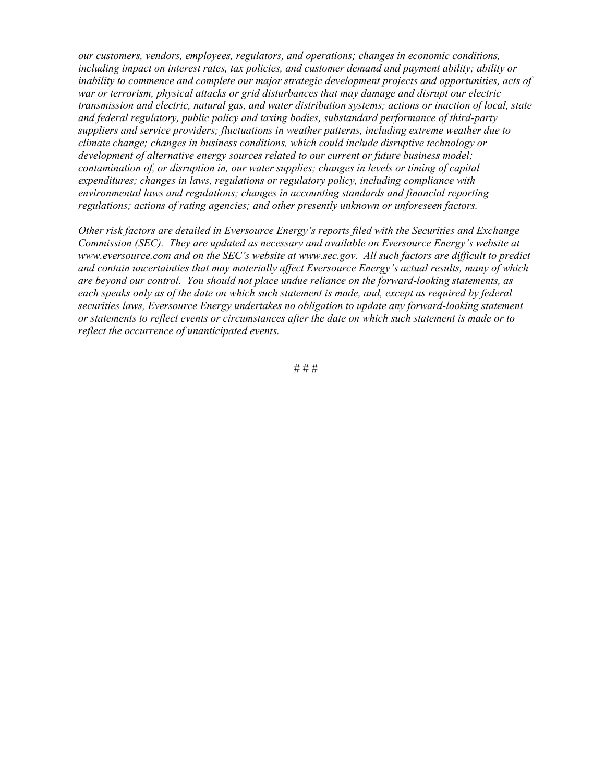*our customers, vendors, employees, regulators, and operations; changes in economic conditions, including impact on interest rates, tax policies, and customer demand and payment ability; ability or inability to commence and complete our major strategic development projects and opportunities, acts of war or terrorism, physical attacks or grid disturbances that may damage and disrupt our electric transmission and electric, natural gas, and water distribution systems; actions or inaction of local, state and federal regulatory, public policy and taxing bodies, substandard performance of third-party suppliers and service providers; fluctuations in weather patterns, including extreme weather due to climate change; changes in business conditions, which could include disruptive technology or development of alternative energy sources related to our current or future business model; contamination of, or disruption in, our water supplies; changes in levels or timing of capital expenditures; changes in laws, regulations or regulatory policy, including compliance with environmental laws and regulations; changes in accounting standards and financial reporting regulations; actions of rating agencies; and other presently unknown or unforeseen factors.*

*Other risk factors are detailed in Eversource Energy's reports filed with the Securities and Exchange Commission (SEC). They are updated as necessary and available on Eversource Energy's website at www.eversource.com and on the SEC's website at www.sec.gov. All such factors are difficult to predict and contain uncertainties that may materially affect Eversource Energy's actual results, many of which are beyond our control. You should not place undue reliance on the forward-looking statements, as each speaks only as of the date on which such statement is made, and, except as required by federal securities laws, Eversource Energy undertakes no obligation to update any forward-looking statement or statements to reflect events or circumstances after the date on which such statement is made or to reflect the occurrence of unanticipated events.* 

# # #